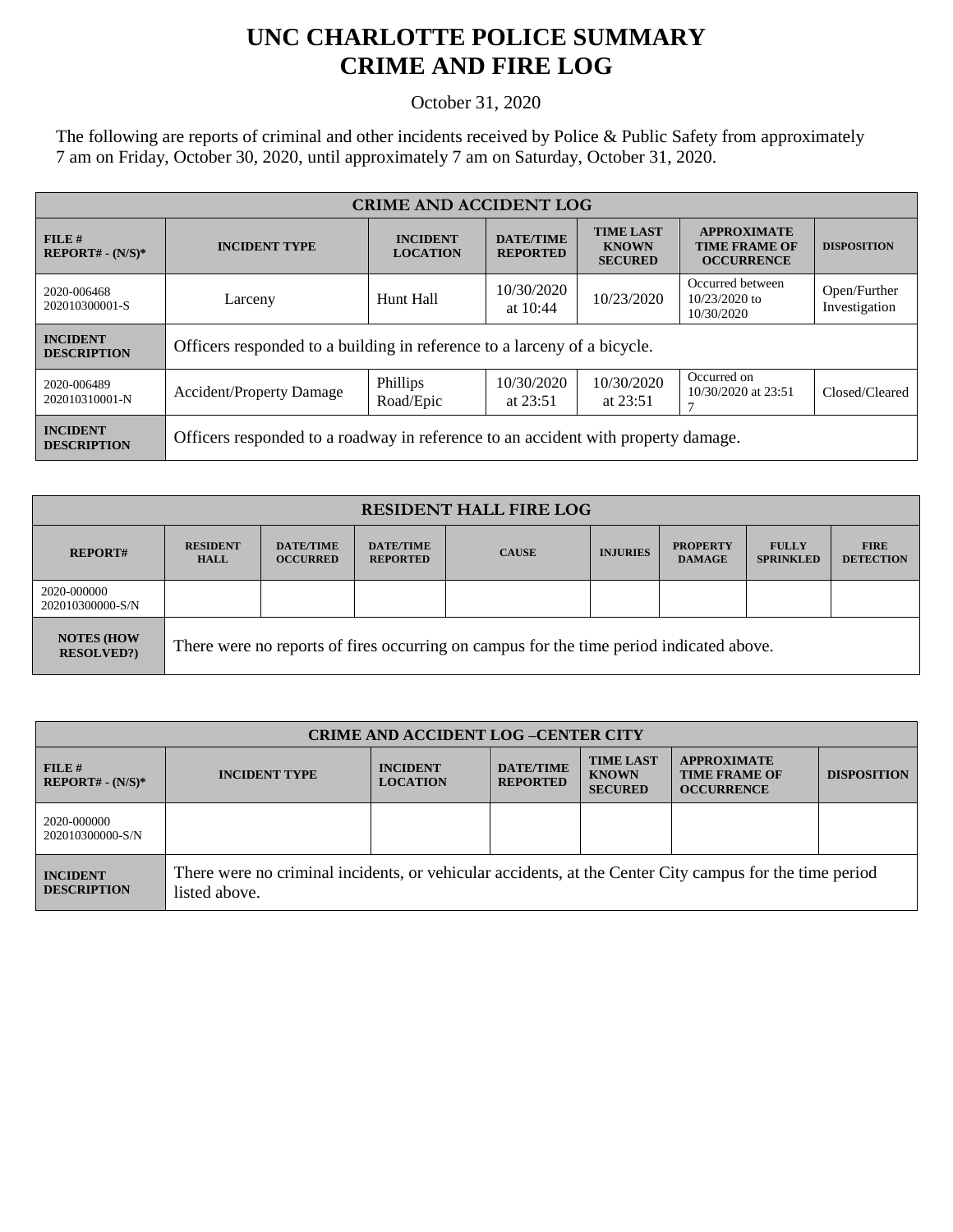## **UNC CHARLOTTE POLICE SUMMARY CRIME AND FIRE LOG**

October 31, 2020

The following are reports of criminal and other incidents received by Police & Public Safety from approximately 7 am on Friday, October 30, 2020, until approximately 7 am on Saturday, October 31, 2020.

| <b>CRIME AND ACCIDENT LOG</b>         |                                                                                   |                                    |                                     |                                                    |                                                                 |                               |  |
|---------------------------------------|-----------------------------------------------------------------------------------|------------------------------------|-------------------------------------|----------------------------------------------------|-----------------------------------------------------------------|-------------------------------|--|
| FILE#<br>$REPORT# - (N/S)*$           | <b>INCIDENT TYPE</b>                                                              | <b>INCIDENT</b><br><b>LOCATION</b> | <b>DATE/TIME</b><br><b>REPORTED</b> | <b>TIME LAST</b><br><b>KNOWN</b><br><b>SECURED</b> | <b>APPROXIMATE</b><br><b>TIME FRAME OF</b><br><b>OCCURRENCE</b> | <b>DISPOSITION</b>            |  |
| 2020-006468<br>202010300001-S         | Larceny                                                                           | Hunt Hall                          | 10/30/2020<br>at $10:44$            | 10/23/2020                                         | Occurred between<br>$10/23/2020$ to<br>10/30/2020               | Open/Further<br>Investigation |  |
| <b>INCIDENT</b><br><b>DESCRIPTION</b> | Officers responded to a building in reference to a larceny of a bicycle.          |                                    |                                     |                                                    |                                                                 |                               |  |
| 2020-006489<br>202010310001-N         | <b>Accident/Property Damage</b>                                                   | Phillips<br>Road/Epic              | 10/30/2020<br>at $23:51$            | 10/30/2020<br>at $23:51$                           | Occurred on<br>10/30/2020 at 23:51                              | Closed/Cleared                |  |
| <b>INCIDENT</b><br><b>DESCRIPTION</b> | Officers responded to a roadway in reference to an accident with property damage. |                                    |                                     |                                                    |                                                                 |                               |  |

| <b>RESIDENT HALL FIRE LOG</b>           |                                                                                         |                                     |                                     |              |                 |                                  |                                  |                                 |
|-----------------------------------------|-----------------------------------------------------------------------------------------|-------------------------------------|-------------------------------------|--------------|-----------------|----------------------------------|----------------------------------|---------------------------------|
| <b>REPORT#</b>                          | <b>RESIDENT</b><br><b>HALL</b>                                                          | <b>DATE/TIME</b><br><b>OCCURRED</b> | <b>DATE/TIME</b><br><b>REPORTED</b> | <b>CAUSE</b> | <b>INJURIES</b> | <b>PROPERTY</b><br><b>DAMAGE</b> | <b>FULLY</b><br><b>SPRINKLED</b> | <b>FIRE</b><br><b>DETECTION</b> |
| 2020-000000<br>202010300000-S/N         |                                                                                         |                                     |                                     |              |                 |                                  |                                  |                                 |
| <b>NOTES (HOW)</b><br><b>RESOLVED?)</b> | There were no reports of fires occurring on campus for the time period indicated above. |                                     |                                     |              |                 |                                  |                                  |                                 |

| <b>CRIME AND ACCIDENT LOG-CENTER CITY</b> |                                                                                                                          |                                    |                                     |                                                    |                                                                 |                    |
|-------------------------------------------|--------------------------------------------------------------------------------------------------------------------------|------------------------------------|-------------------------------------|----------------------------------------------------|-----------------------------------------------------------------|--------------------|
| $FILE$ #<br>$REPORT# - (N/S)*$            | <b>INCIDENT TYPE</b>                                                                                                     | <b>INCIDENT</b><br><b>LOCATION</b> | <b>DATE/TIME</b><br><b>REPORTED</b> | <b>TIME LAST</b><br><b>KNOWN</b><br><b>SECURED</b> | <b>APPROXIMATE</b><br><b>TIME FRAME OF</b><br><b>OCCURRENCE</b> | <b>DISPOSITION</b> |
| 2020-000000<br>202010300000-S/N           |                                                                                                                          |                                    |                                     |                                                    |                                                                 |                    |
| <b>INCIDENT</b><br><b>DESCRIPTION</b>     | There were no criminal incidents, or vehicular accidents, at the Center City campus for the time period<br>listed above. |                                    |                                     |                                                    |                                                                 |                    |